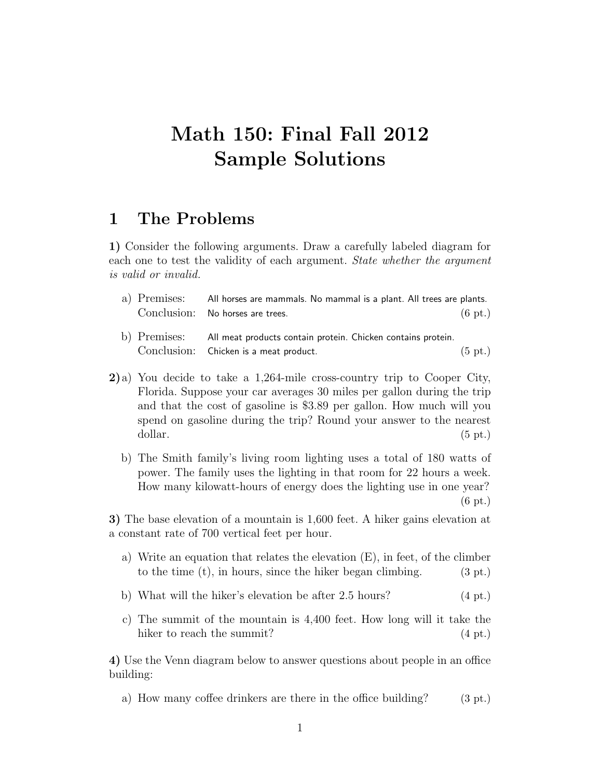# **Math 150: Final Fall 2012 Sample Solutions**

## **1 The Problems**

**1)** Consider the following arguments. Draw a carefully labeled diagram for each one to test the validity of each argument. *State whether the argument is valid or invalid.*

- a) Premises: All horses are mammals. No mammal is a plant. All trees are plants. Conclusion: No horses are trees. (6 pt.)
- b) Premises: All meat products contain protein. Chicken contains protein. Conclusion: Chicken is a meat product. (5 pt.)
- **2)**a) You decide to take a 1,264-mile cross-country trip to Cooper City, Florida. Suppose your car averages 30 miles per gallon during the trip and that the cost of gasoline is \$3.89 per gallon. How much will you spend on gasoline during the trip? Round your answer to the nearest dollar. (5 pt.)
	- b) The Smith family's living room lighting uses a total of 180 watts of power. The family uses the lighting in that room for 22 hours a week. How many kilowatt-hours of energy does the lighting use in one year? (6 pt.)

**3)** The base elevation of a mountain is 1,600 feet. A hiker gains elevation at a constant rate of 700 vertical feet per hour.

- a) Write an equation that relates the elevation (E), in feet, of the climber to the time  $(t)$ , in hours, since the hiker began climbing. (3 pt.)
- b) What will the hiker's elevation be after 2.5 hours? (4 pt.)
- c) The summit of the mountain is 4,400 feet. How long will it take the hiker to reach the summit? (4 pt.)

**4)** Use the Venn diagram below to answer questions about people in an office building:

a) How many coffee drinkers are there in the office building?  $(3 \text{ pt.})$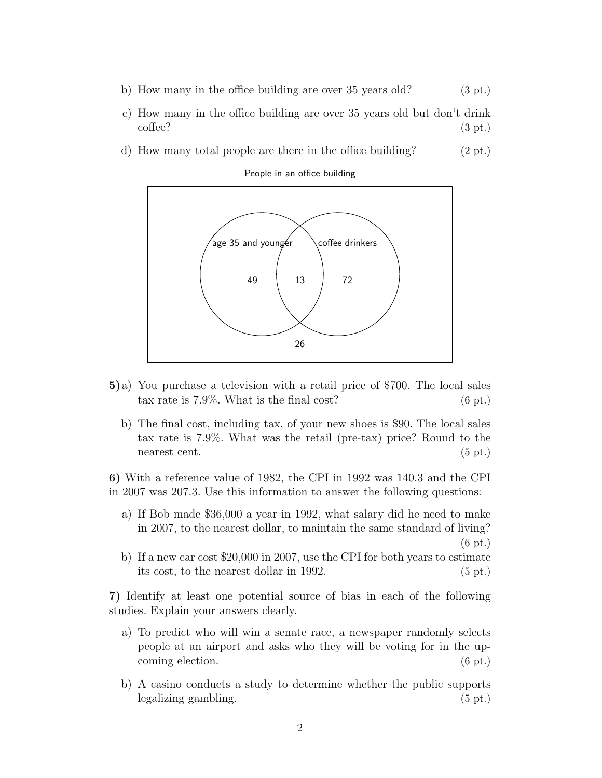- b) How many in the office building are over  $35$  years old?  $(3 \text{ pt.})$
- c) How many in the office building are over 35 years old but don't drink  $\text{cofree?}$  (3 pt.)
- d) How many total people are there in the office building? (2 pt.)

People in an office building



- **5)**a) You purchase a television with a retail price of \$700. The local sales tax rate is  $7.9\%$ . What is the final cost?  $(6 \text{ pt.})$ 
	- b) The final cost, including tax, of your new shoes is \$90. The local sales tax rate is 7.9%. What was the retail (pre-tax) price? Round to the nearest cent. (5 pt.)

**6)** With a reference value of 1982, the CPI in 1992 was 140.3 and the CPI in 2007 was 207.3. Use this information to answer the following questions:

- a) If Bob made \$36,000 a year in 1992, what salary did he need to make in 2007, to the nearest dollar, to maintain the same standard of living? (6 pt.)
- b) If a new car cost \$20,000 in 2007, use the CPI for both years to estimate its cost, to the nearest dollar in 1992. (5 pt.)

**7)** Identify at least one potential source of bias in each of the following studies. Explain your answers clearly.

- a) To predict who will win a senate race, a newspaper randomly selects people at an airport and asks who they will be voting for in the upcoming election. (6 pt.)
- b) A casino conducts a study to determine whether the public supports legalizing gambling. (5 pt.)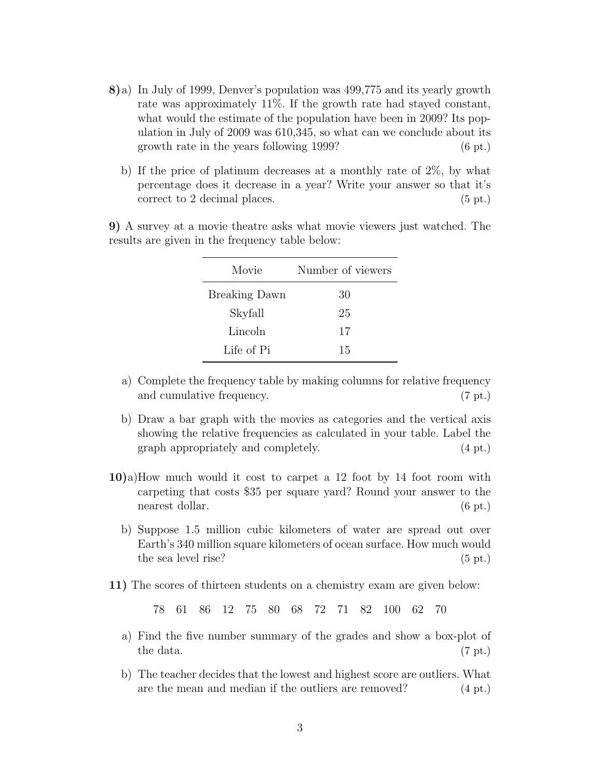- **8)**a) In July of 1999, Denver's population was 499,775 and its yearly growth rate was approximately 11%. If the growth rate had stayed constant, what would the estimate of the population have been in 2009? Its population in July of 2009 was 610,345, so what can we conclude about its growth rate in the years following 1999? (6 pt.)
	- b) If the price of platinum decreases at a monthly rate of 2%, by what percentage does it decrease in a year? Write your answer so that it's correct to 2 decimal places. (5 pt.)

**9)** A survey at a movie theatre asks what movie viewers just watched. The results are given in the frequency table below:

| Movie                | Number of viewers |
|----------------------|-------------------|
| <b>Breaking Dawn</b> | 30                |
| Skyfall              | 25                |
| Lincoln              | 17                |
| Life of Pi           | 15                |

- a) Complete the frequency table by making columns for relative frequency and cumulative frequency. (7 pt.)
- b) Draw a bar graph with the movies as categories and the vertical axis showing the relative frequencies as calculated in your table. Label the graph appropriately and completely. (4 pt.)
- **10)**a)How much would it cost to carpet a 12 foot by 14 foot room with carpeting that costs \$35 per square yard? Round your answer to the nearest dollar. (6 pt.)
	- b) Suppose 1.5 million cubic kilometers of water are spread out over Earth's 340 million square kilometers of ocean surface. How much would the sea level rise? (5 pt.)
- **11)** The scores of thirteen students on a chemistry exam are given below:

78 61 86 12 75 80 68 72 71 82 100 62 70

- a) Find the five number summary of the grades and show a box-plot of  $\text{the data.}$  (7 pt.)
- b) The teacher decides that the lowest and highest score are outliers. What are the mean and median if the outliers are removed? (4 pt.)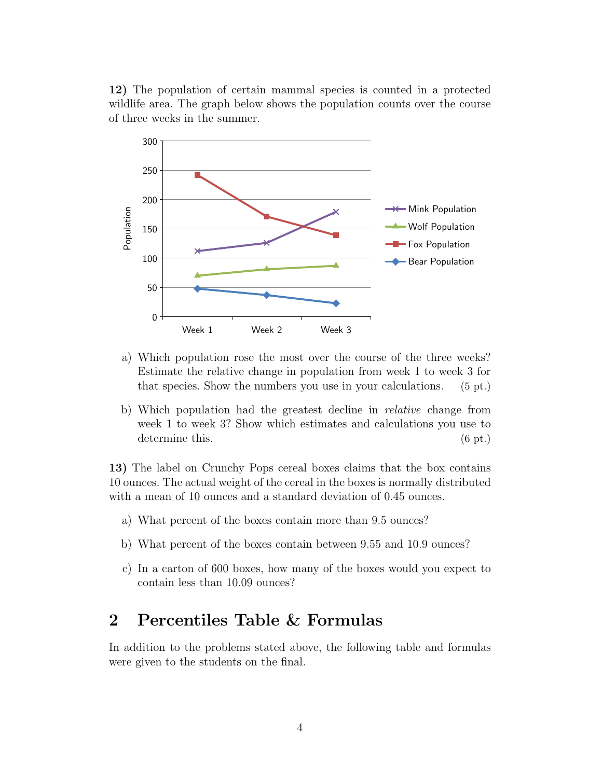**12)** The population of certain mammal species is counted in a protected wildlife area. The graph below shows the population counts over the course of three weeks in the summer.



- a) Which population rose the most over the course of the three weeks? Estimate the relative change in population from week 1 to week 3 for that species. Show the numbers you use in your calculations. (5 pt.)
- b) Which population had the greatest decline in *relative* change from week 1 to week 3? Show which estimates and calculations you use to determine this. (6 pt.)

**13)** The label on Crunchy Pops cereal boxes claims that the box contains 10 ounces. The actual weight of the cereal in the boxes is normally distributed with a mean of 10 ounces and a standard deviation of 0.45 ounces.

- a) What percent of the boxes contain more than 9.5 ounces?
- b) What percent of the boxes contain between 9.55 and 10.9 ounces?
- c) In a carton of 600 boxes, how many of the boxes would you expect to contain less than 10.09 ounces?

## **2 Percentiles Table & Formulas**

In addition to the problems stated above, the following table and formulas were given to the students on the final.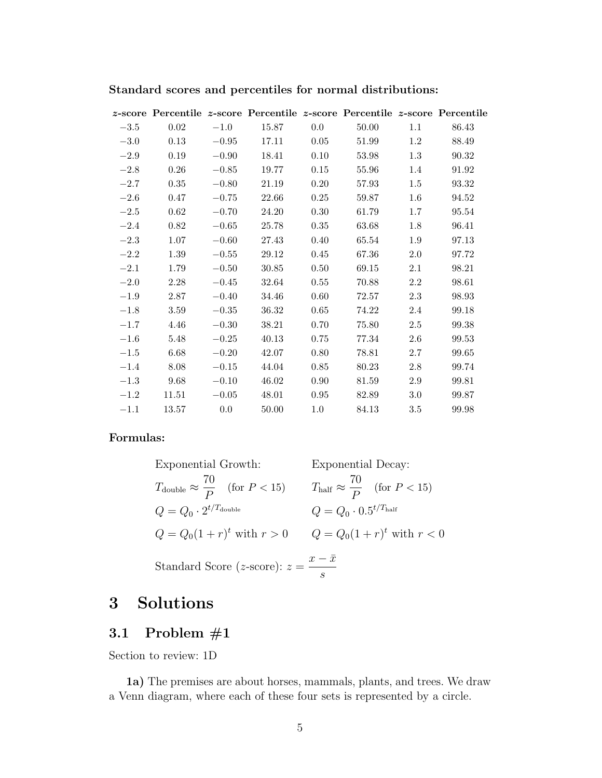|        |       |         |       |          | <i>z</i> -score Percentile <i>z</i> -score Percentile <i>z</i> -score Percentile <i>z</i> -score Percentile |         |       |
|--------|-------|---------|-------|----------|-------------------------------------------------------------------------------------------------------------|---------|-------|
| $-3.5$ | 0.02  | $-1.0$  | 15.87 | $0.0\,$  | 50.00                                                                                                       | 1.1     | 86.43 |
| $-3.0$ | 0.13  | $-0.95$ | 17.11 | 0.05     | 51.99                                                                                                       | $1.2\,$ | 88.49 |
| $-2.9$ | 0.19  | $-0.90$ | 18.41 | 0.10     | 53.98                                                                                                       | 1.3     | 90.32 |
| $-2.8$ | 0.26  | $-0.85$ | 19.77 | 0.15     | 55.96                                                                                                       | 1.4     | 91.92 |
| $-2.7$ | 0.35  | $-0.80$ | 21.19 | 0.20     | 57.93                                                                                                       | $1.5\,$ | 93.32 |
| $-2.6$ | 0.47  | $-0.75$ | 22.66 | 0.25     | 59.87                                                                                                       | $1.6\,$ | 94.52 |
| $-2.5$ | 0.62  | $-0.70$ | 24.20 | $0.30\,$ | 61.79                                                                                                       | $1.7\,$ | 95.54 |
| $-2.4$ | 0.82  | $-0.65$ | 25.78 | 0.35     | 63.68                                                                                                       | 1.8     | 96.41 |
| $-2.3$ | 1.07  | $-0.60$ | 27.43 | 0.40     | 65.54                                                                                                       | 1.9     | 97.13 |
| $-2.2$ | 1.39  | $-0.55$ | 29.12 | 0.45     | 67.36                                                                                                       | 2.0     | 97.72 |
| $-2.1$ | 1.79  | $-0.50$ | 30.85 | 0.50     | 69.15                                                                                                       | 2.1     | 98.21 |
| $-2.0$ | 2.28  | $-0.45$ | 32.64 | 0.55     | 70.88                                                                                                       | $2.2\,$ | 98.61 |
| $-1.9$ | 2.87  | $-0.40$ | 34.46 | 0.60     | 72.57                                                                                                       | 2.3     | 98.93 |
| $-1.8$ | 3.59  | $-0.35$ | 36.32 | 0.65     | 74.22                                                                                                       | 2.4     | 99.18 |
| $-1.7$ | 4.46  | $-0.30$ | 38.21 | 0.70     | 75.80                                                                                                       | $2.5\,$ | 99.38 |
| $-1.6$ | 5.48  | $-0.25$ | 40.13 | 0.75     | 77.34                                                                                                       | $2.6\,$ | 99.53 |
| $-1.5$ | 6.68  | $-0.20$ | 42.07 | 0.80     | 78.81                                                                                                       | 2.7     | 99.65 |
| $-1.4$ | 8.08  | $-0.15$ | 44.04 | 0.85     | 80.23                                                                                                       | 2.8     | 99.74 |
| $-1.3$ | 9.68  | $-0.10$ | 46.02 | 0.90     | 81.59                                                                                                       | $2.9\,$ | 99.81 |
| $-1.2$ | 11.51 | $-0.05$ | 48.01 | 0.95     | 82.89                                                                                                       | $3.0\,$ | 99.87 |
| $-1.1$ | 13.57 | $0.0\,$ | 50.00 | $1.0\,$  | 84.13                                                                                                       | $3.5\,$ | 99.98 |
|        |       |         |       |          |                                                                                                             |         |       |

#### **Standard scores and percentiles for normal distributions:**

#### **Formulas:**

| Exponential Growth:                                      | Exponential Decay:                                     |
|----------------------------------------------------------|--------------------------------------------------------|
| $T_{\text{double}} \approx \frac{70}{P}$ (for $P < 15$ ) | $T_{\text{half}} \approx \frac{70}{P}$ (for $P < 15$ ) |
| $Q = Q_0 \cdot 2^{t/T_{\text{double}}}$                  | $Q = Q_0 \cdot 0.5^{t/T_{\text{half}}}$                |
| $Q = Q_0(1+r)^t$ with $r > 0$                            | $Q = Q_0(1+r)^t$ with $r < 0$                          |
| Standard Score (z-score): $z = \frac{x - \bar{x}}{s}$    |                                                        |

## **3 Solutions**

## **3.1 Problem #1**

Section to review: 1D

**1a)** The premises are about horses, mammals, plants, and trees. We draw a Venn diagram, where each of these four sets is represented by a circle.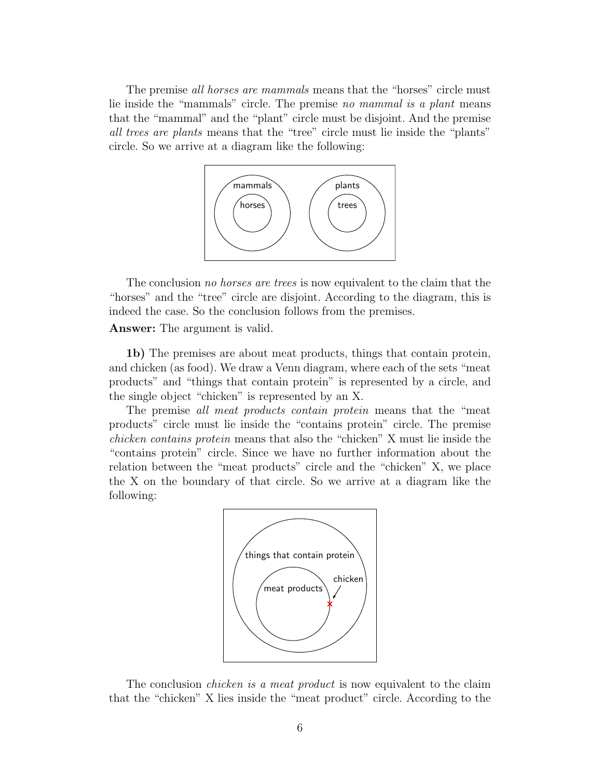The premise *all horses are mammals* means that the "horses" circle must lie inside the "mammals" circle. The premise *no mammal is a plant* means that the "mammal" and the "plant" circle must be disjoint. And the premise *all trees are plants* means that the "tree" circle must lie inside the "plants" circle. So we arrive at a diagram like the following:



The conclusion *no horses are trees* is now equivalent to the claim that the "horses" and the "tree" circle are disjoint. According to the diagram, this is indeed the case. So the conclusion follows from the premises.

#### **Answer:** The argument is valid.

**1b)** The premises are about meat products, things that contain protein, and chicken (as food). We draw a Venn diagram, where each of the sets "meat products" and "things that contain protein" is represented by a circle, and the single object "chicken" is represented by an X.

The premise *all meat products contain protein* means that the "meat products" circle must lie inside the "contains protein" circle. The premise *chicken contains protein* means that also the "chicken" X must lie inside the "contains protein" circle. Since we have no further information about the relation between the "meat products" circle and the "chicken" X, we place the X on the boundary of that circle. So we arrive at a diagram like the following:



The conclusion *chicken is a meat product* is now equivalent to the claim that the "chicken" X lies inside the "meat product" circle. According to the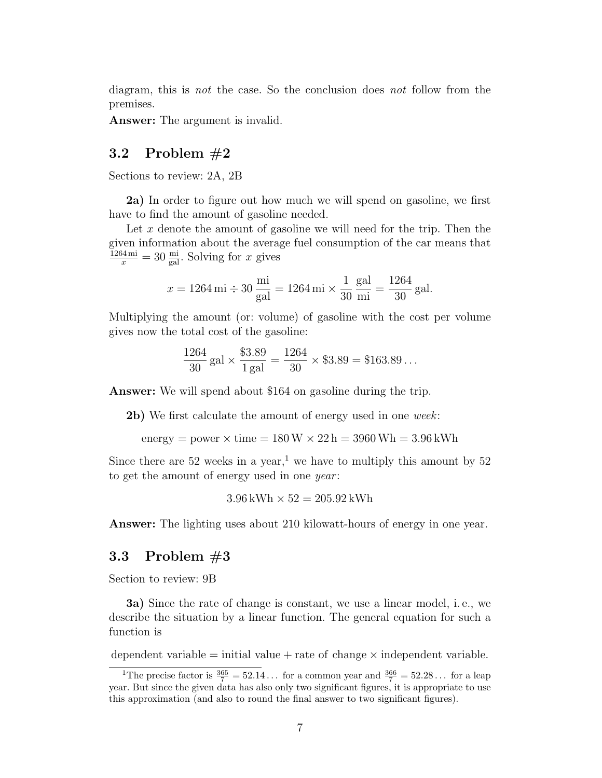diagram, this is *not* the case. So the conclusion does *not* follow from the premises.

**Answer:** The argument is invalid.

#### **3.2 Problem #2**

Sections to review: 2A, 2B

**2a)** In order to figure out how much we will spend on gasoline, we first have to find the amount of gasoline needed.

Let x denote the amount of gasoline we will need for the trip. Then the given information about the average fuel consumption of the car means that  $\frac{1264 \text{ mi}}{x} = 30 \frac{\text{mi}}{\text{gal}}$ . Solving for *x* gives

$$
x = 1264 \text{ mi} \div 30 \frac{\text{mi}}{\text{gal}} = 1264 \text{ mi} \times \frac{1}{30} \frac{\text{gal}}{\text{mi}} = \frac{1264}{30} \text{gal}.
$$

Multiplying the amount (or: volume) of gasoline with the cost per volume gives now the total cost of the gasoline:

$$
\frac{1264}{30} \,\text{gal} \times \frac{\$3.89}{1 \,\text{gal}} = \frac{1264}{30} \times \$3.89 = \$163.89 \dots
$$

**Answer:** We will spend about \$164 on gasoline during the trip.

**2b)** We first calculate the amount of energy used in one *week*:

energy = power  $\times$  time =  $180 W \times 22 h = 3960 Wh = 3.96 kWh$ 

Since there are 52 weeks in a year,<sup>1</sup> we have to multiply this amount by 52 to get the amount of energy used in one *year* :

$$
3.96\,\mathrm{kWh} \times 52 = 205.92\,\mathrm{kWh}
$$

**Answer:** The lighting uses about 210 kilowatt-hours of energy in one year.

#### **3.3 Problem #3**

Section to review: 9B

**3a)** Since the rate of change is constant, we use a linear model, i. e., we describe the situation by a linear function. The general equation for such a function is

dependent variable = initial value + rate of change *×* independent variable*.*

<sup>&</sup>lt;sup>1</sup>The precise factor is  $\frac{365}{7} = 52.14...$  for a common year and  $\frac{366}{7} = 52.28...$  for a leap year. But since the given data has also only two significant figures, it is appropriate to use this approximation (and also to round the final answer to two significant figures).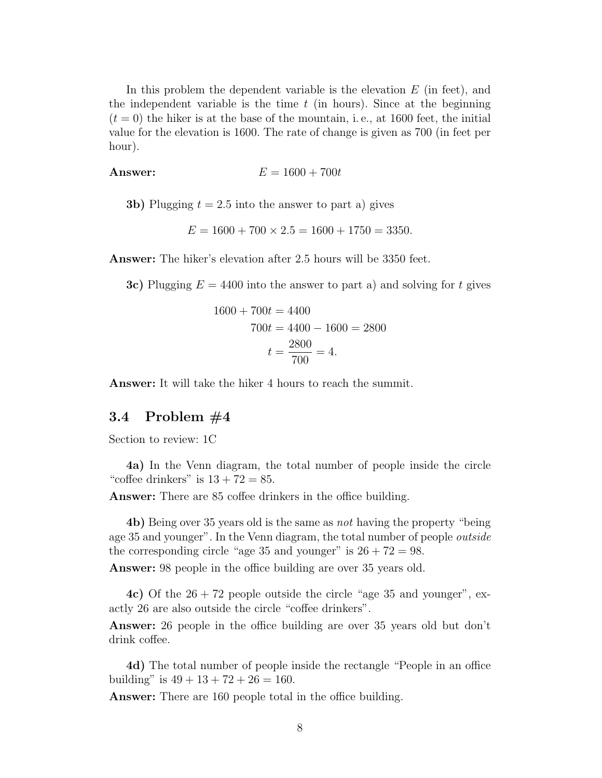In this problem the dependent variable is the elevation *E* (in feet), and the independent variable is the time  $t$  (in hours). Since at the beginning  $(t = 0)$  the hiker is at the base of the mountain, i.e., at 1600 feet, the initial value for the elevation is 1600. The rate of change is given as 700 (in feet per hour).

$$
A
$$
**Answer:** 
$$
E = 1600 + 700t
$$

**3b)** Plugging  $t = 2.5$  into the answer to part a) gives

$$
E = 1600 + 700 \times 2.5 = 1600 + 1750 = 3350.
$$

**Answer:** The hiker's elevation after 2.5 hours will be 3350 feet.

**3c)** Plugging *E* = 4400 into the answer to part a) and solving for *t* gives

$$
1600 + 700t = 4400
$$
  

$$
700t = 4400 - 1600 = 2800
$$
  

$$
t = \frac{2800}{700} = 4.
$$

**Answer:** It will take the hiker 4 hours to reach the summit.

#### **3.4 Problem #4**

Section to review: 1C

**4a)** In the Venn diagram, the total number of people inside the circle "coffee drinkers" is  $13 + 72 = 85$ .

**Answer:** There are 85 coffee drinkers in the office building.

**4b)** Being over 35 years old is the same as *not* having the property "being age 35 and younger". In the Venn diagram, the total number of people *outside* the corresponding circle "age 35 and younger" is  $26 + 72 = 98$ .

**Answer:** 98 people in the office building are over 35 years old.

**4c)** Of the  $26 + 72$  people outside the circle "age 35 and younger", exactly 26 are also outside the circle "coffee drinkers".

**Answer:** 26 people in the office building are over 35 years old but don't drink coffee.

**4d)** The total number of people inside the rectangle "People in an office building" is  $49 + 13 + 72 + 26 = 160$ .

**Answer:** There are 160 people total in the office building.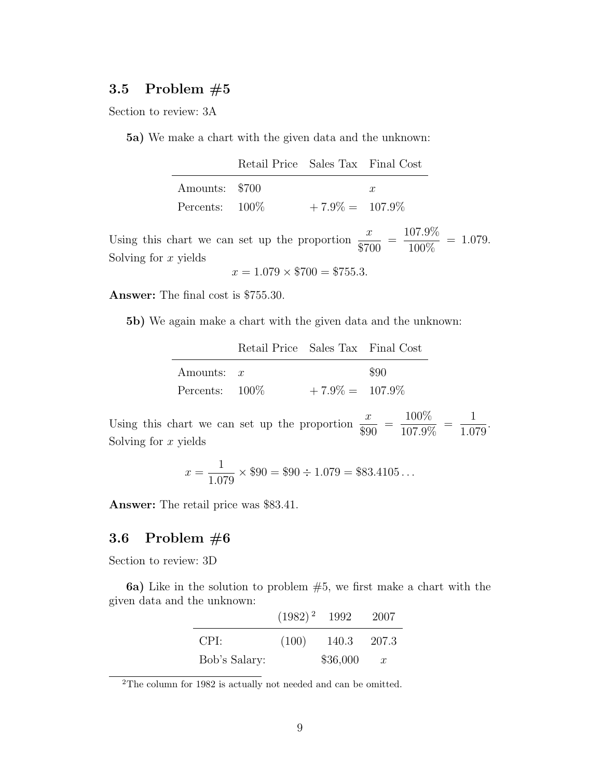#### **3.5 Problem #5**

Section to review: 3A

**5a)** We make a chart with the given data and the unknown:

|                   | Retail Price Sales Tax Final Cost |                    |                  |
|-------------------|-----------------------------------|--------------------|------------------|
| Amounts: \$700    |                                   |                    | $\boldsymbol{x}$ |
| Percents: $100\%$ |                                   | $+7.9\% = 107.9\%$ |                  |

Using this chart we can set up the proportion  $\frac{x}{2\pi}$  $rac{w}{\$700}$  = 107*.*9%  $\frac{100\%}{100\%} = 1.079.$ Solving for *x* yields

 $x = 1.079 \times $700 = $755.3$ .

**Answer:** The final cost is \$755.30.

**5b)** We again make a chart with the given data and the unknown:

|                   | Retail Price Sales Tax Final Cost |                    |      |
|-------------------|-----------------------------------|--------------------|------|
| Amounts: $x$      |                                   |                    | \$90 |
| Percents: $100\%$ |                                   | $+7.9\% = 107.9\%$ |      |

Using this chart we can set up the proportion  $\frac{x}{a_0}$  $rac{x}{\$90}$  = 100%  $\frac{10070}{107.9\%}$  = 1 1*.*079 . Solving for *x* yields

$$
x = \frac{1}{1.079} \times \$90 = \$90 \div 1.079 = \$83.4105...
$$

**Answer:** The retail price was \$83.41.

#### **3.6 Problem #6**

Section to review: 3D

**6a)** Like in the solution to problem #5, we first make a chart with the given data and the unknown:

|               | $(1982)^{2}$ 1992 |          | 2007             |
|---------------|-------------------|----------|------------------|
| CPI:          | (100)             | 140.3    | - 207.3          |
| Bob's Salary: |                   | \$36,000 | $\boldsymbol{x}$ |

<sup>2</sup>The column for 1982 is actually not needed and can be omitted.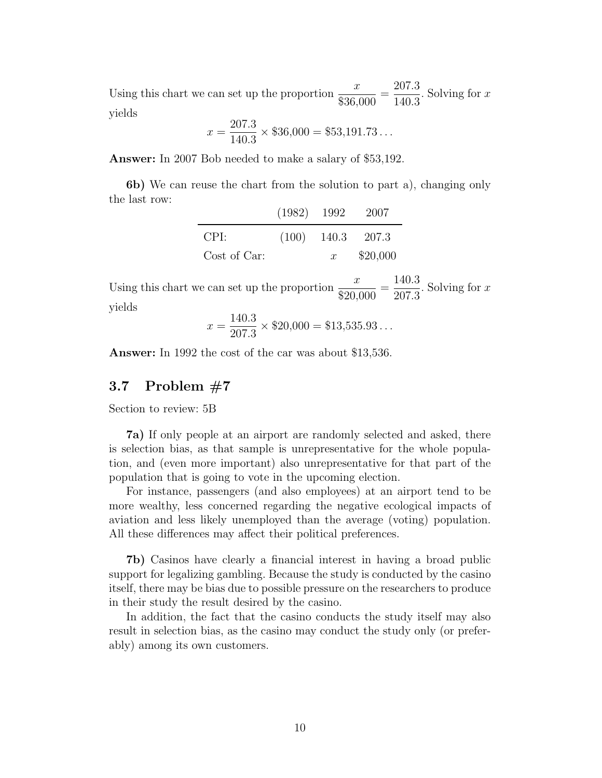Using this chart we can set up the proportion  $\frac{x}{\sqrt{ax}}$ \$36*,*000 = 207*.*3 140*.*3 . Solving for *x* yields

$$
x = \frac{207.3}{140.3} \times $36,000 = $53,191.73\dots
$$

**Answer:** In 2007 Bob needed to make a salary of \$53,192.

**6b)** We can reuse the chart from the solution to part a), changing only the last row:

|              | $(1982)$ 1992 |                  | - 2007              |
|--------------|---------------|------------------|---------------------|
| CPI:         |               |                  | $(100)$ 140.3 207.3 |
| Cost of Car: |               | $\boldsymbol{x}$ | \$20,000            |

Using this chart we can set up the proportion  $\frac{x}{\sqrt{2}}$ \$20*,*000 = 140*.*3 207*.*3 . Solving for *x* yields

$$
x = \frac{140.3}{207.3} \times \$20,000 = \$13,535.93...
$$

**Answer:** In 1992 the cost of the car was about \$13,536.

#### **3.7 Problem #7**

Section to review: 5B

**7a)** If only people at an airport are randomly selected and asked, there is selection bias, as that sample is unrepresentative for the whole population, and (even more important) also unrepresentative for that part of the population that is going to vote in the upcoming election.

For instance, passengers (and also employees) at an airport tend to be more wealthy, less concerned regarding the negative ecological impacts of aviation and less likely unemployed than the average (voting) population. All these differences may affect their political preferences.

**7b)** Casinos have clearly a financial interest in having a broad public support for legalizing gambling. Because the study is conducted by the casino itself, there may be bias due to possible pressure on the researchers to produce in their study the result desired by the casino.

In addition, the fact that the casino conducts the study itself may also result in selection bias, as the casino may conduct the study only (or preferably) among its own customers.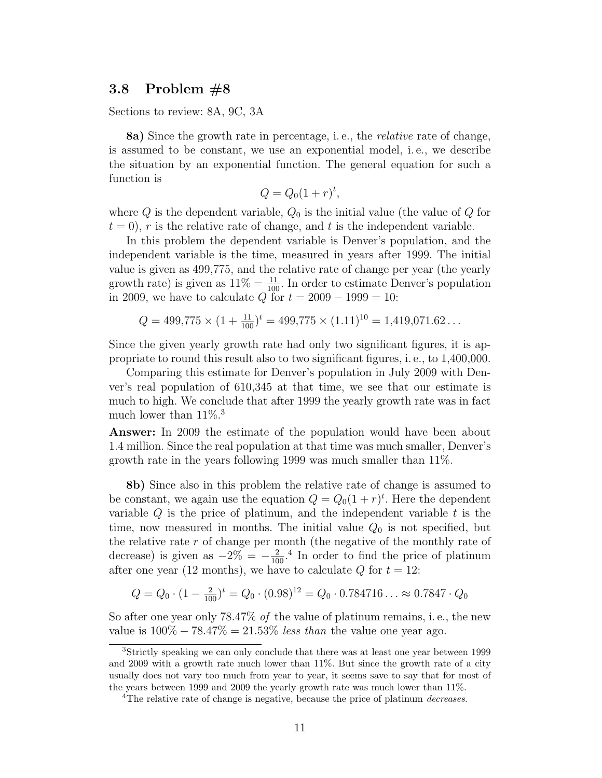#### **3.8 Problem #8**

Sections to review: 8A, 9C, 3A

**8a)** Since the growth rate in percentage, i. e., the *relative* rate of change, is assumed to be constant, we use an exponential model, i. e., we describe the situation by an exponential function. The general equation for such a function is

$$
Q = Q_0(1+r)^t,
$$

where  $Q$  is the dependent variable,  $Q_0$  is the initial value (the value of  $Q$  for  $t = 0$ , r is the relative rate of change, and t is the independent variable.

In this problem the dependent variable is Denver's population, and the independent variable is the time, measured in years after 1999. The initial value is given as 499,775, and the relative rate of change per year (the yearly growth rate) is given as  $11\% = \frac{11}{100}$ . In order to estimate Denver's population in 2009, we have to calculate *Q* for  $t = 2009 - 1999 = 10$ :

$$
Q = 499,775 \times (1 + \frac{11}{100})^t = 499,775 \times (1.11)^{10} = 1,419,071.62...
$$

Since the given yearly growth rate had only two significant figures, it is appropriate to round this result also to two significant figures, i. e., to 1,400,000.

Comparing this estimate for Denver's population in July 2009 with Denver's real population of 610,345 at that time, we see that our estimate is much to high. We conclude that after 1999 the yearly growth rate was in fact much lower than  $11\%$ <sup>3</sup>

**Answer:** In 2009 the estimate of the population would have been about 1.4 million. Since the real population at that time was much smaller, Denver's growth rate in the years following 1999 was much smaller than 11%.

**8b)** Since also in this problem the relative rate of change is assumed to be constant, we again use the equation  $Q = Q_0(1+r)^t$ . Here the dependent variable *Q* is the price of platinum, and the independent variable *t* is the time, now measured in months. The initial value  $Q_0$  is not specified, but the relative rate *r* of change per month (the negative of the monthly rate of decrease) is given as  $-2\% = -\frac{2}{100}$ .<sup>4</sup> In order to find the price of platinum after one year (12 months), we have to calculate  $Q$  for  $t = 12$ :

$$
Q = Q_0 \cdot (1 - \frac{2}{100})^t = Q_0 \cdot (0.98)^{12} = Q_0 \cdot 0.784716 \dots \approx 0.7847 \cdot Q_0
$$

So after one year only 78.47% *of* the value of platinum remains, i. e., the new value is 100% *−* 78*.*47% = 21*.*53% *less than* the value one year ago.

<sup>3</sup>Strictly speaking we can only conclude that there was at least one year between 1999 and 2009 with a growth rate much lower than 11%. But since the growth rate of a city usually does not vary too much from year to year, it seems save to say that for most of the years between 1999 and 2009 the yearly growth rate was much lower than 11%.

<sup>4</sup>The relative rate of change is negative, because the price of platinum *decreases*.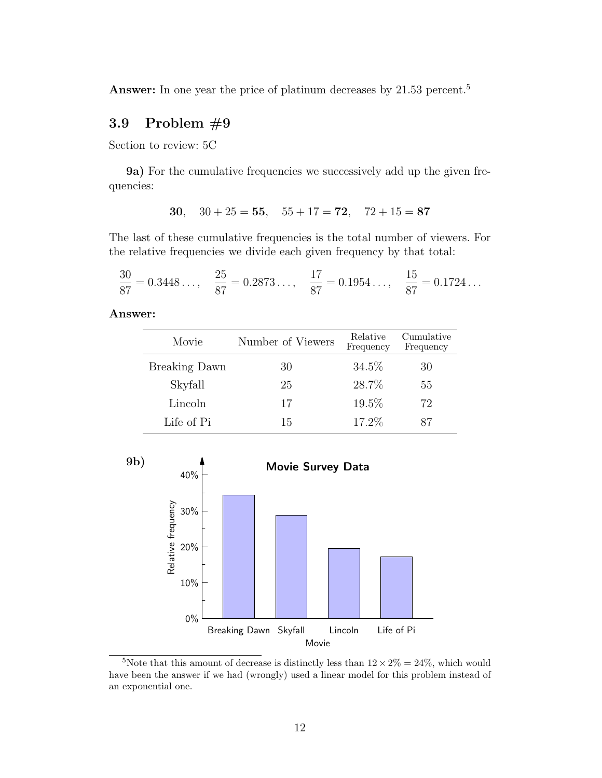Answer: In one year the price of platinum decreases by 21.53 percent.<sup>5</sup>

#### **3.9 Problem #9**

Section to review: 5C

**9a)** For the cumulative frequencies we successively add up the given frequencies:

30, 
$$
30 + 25 = 55
$$
,  $55 + 17 = 72$ ,  $72 + 15 = 87$ 

The last of these cumulative frequencies is the total number of viewers. For the relative frequencies we divide each given frequency by that total:

$$
\frac{30}{87} = 0.3448..., \quad \frac{25}{87} = 0.2873..., \quad \frac{17}{87} = 0.1954..., \quad \frac{15}{87} = 0.1724...
$$

**Answer:**

| Movie                | Number of Viewers | Relative<br>Frequency | Cumulative<br>Frequency |
|----------------------|-------------------|-----------------------|-------------------------|
| <b>Breaking Dawn</b> | 30                | 34.5%                 | 30                      |
| Skyfall              | 25                | 28.7%                 | 55                      |
| Lincoln              | 17                | 19.5%                 | 72                      |
| Life of Pi           | 15                | 17.2%                 | 87                      |



<sup>&</sup>lt;sup>5</sup>Note that this amount of decrease is distinctly less than  $12 \times 2\% = 24\%$ , which would have been the answer if we had (wrongly) used a linear model for this problem instead of an exponential one.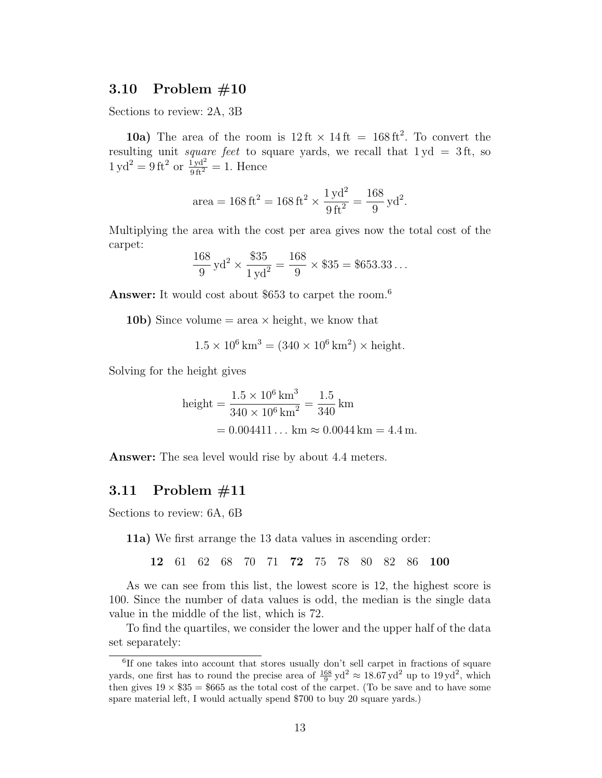#### **3.10 Problem #10**

Sections to review: 2A, 3B

**10a**) The area of the room is  $12 \text{ ft} \times 14 \text{ ft} = 168 \text{ ft}^2$ . To convert the resulting unit *square feet* to square yards, we recall that 1 yd = 3 ft, so  $1 \text{ yd}^2 = 9 \text{ ft}^2 \text{ or } \frac{1 \text{ yd}^2}{9 \text{ ft}^2} = 1.$  Hence

area = 
$$
168 \text{ ft}^2 = 168 \text{ ft}^2 \times \frac{1 \text{ yd}^2}{9 \text{ ft}^2} = \frac{168}{9} \text{ yd}^2.
$$

Multiplying the area with the cost per area gives now the total cost of the carpet:

$$
\frac{168}{9} \text{yd}^2 \times \frac{\$35}{1 \text{yd}^2} = \frac{168}{9} \times \$35 = \$653.33\dots
$$

**Answer:** It would cost about \$653 to carpet the room.<sup>6</sup>

**10b)** Since volume  $=$  area  $\times$  height, we know that

$$
1.5 \times 10^6 \text{ km}^3 = (340 \times 10^6 \text{ km}^2) \times \text{height.}
$$

Solving for the height gives

height = 
$$
\frac{1.5 \times 10^6 \text{ km}^3}{340 \times 10^6 \text{ km}^2} = \frac{1.5}{340} \text{ km}
$$
  
= 0.004411... km ≈ 0.0044 km = 4.4 m.

**Answer:** The sea level would rise by about 4.4 meters.

#### **3.11 Problem #11**

Sections to review: 6A, 6B

**11a)** We first arrange the 13 data values in ascending order:

**12** 61 62 68 70 71 **72** 75 78 80 82 86 **100**

As we can see from this list, the lowest score is 12, the highest score is 100. Since the number of data values is odd, the median is the single data value in the middle of the list, which is 72.

To find the quartiles, we consider the lower and the upper half of the data set separately:

<sup>&</sup>lt;sup>6</sup>If one takes into account that stores usually don't sell carpet in fractions of square yards, one first has to round the precise area of  $\frac{168}{9}$  yd<sup>2</sup>  $\approx 18.67$  yd<sup>2</sup> up to  $19$  yd<sup>2</sup>, which then gives  $19 \times $35 = $665$  as the total cost of the carpet. (To be save and to have some spare material left, I would actually spend \$700 to buy 20 square yards.)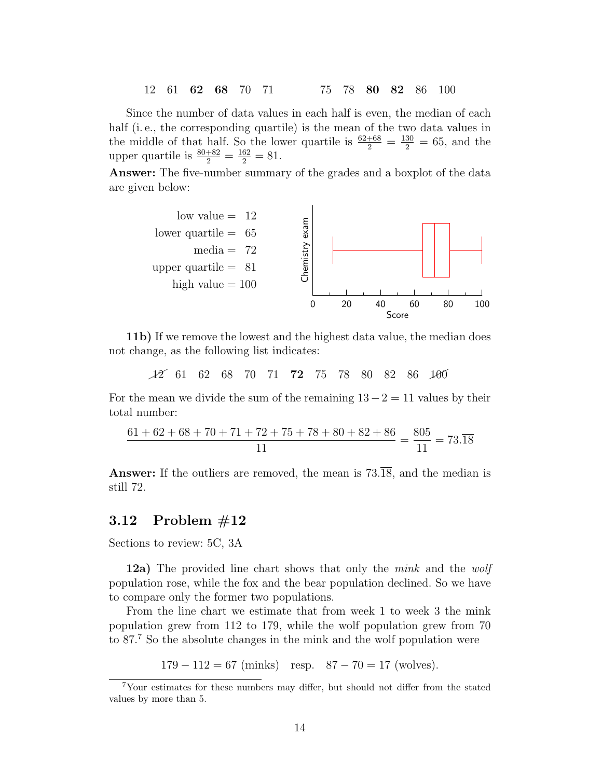Since the number of data values in each half is even, the median of each half (i.e., the corresponding quartile) is the mean of the two data values in the middle of that half. So the lower quartile is  $\frac{62+68}{2} = \frac{130}{2} = 65$ , and the upper quartile is  $\frac{80+82}{2} = \frac{162}{2} = 81$ .

**Answer:** The five-number summary of the grades and a boxplot of the data are given below:



**11b)** If we remove the lowest and the highest data value, the median does not change, as the following list indicates:

 $\cancel{12}$  61 62 68 70 71 **72** 75 78 80 82 86 100

For the mean we divide the sum of the remaining  $13 - 2 = 11$  values by their total number:

$$
\frac{61+62+68+70+71+72+75+78+80+82+86}{11} = \frac{805}{11} = 73.\overline{18}
$$

**Answer:** If the outliers are removed, the mean is  $73.\overline{18}$ , and the median is still 72.

#### **3.12 Problem #12**

Sections to review: 5C, 3A

**12a)** The provided line chart shows that only the *mink* and the *wolf* population rose, while the fox and the bear population declined. So we have to compare only the former two populations.

From the line chart we estimate that from week 1 to week 3 the mink population grew from 112 to 179, while the wolf population grew from 70 to 87.<sup>7</sup> So the absolute changes in the mink and the wolf population were

179 *−* 112 = 67 (minks) resp. 87 *−* 70 = 17 (wolves)*.*

<sup>7</sup>Your estimates for these numbers may differ, but should not differ from the stated values by more than 5.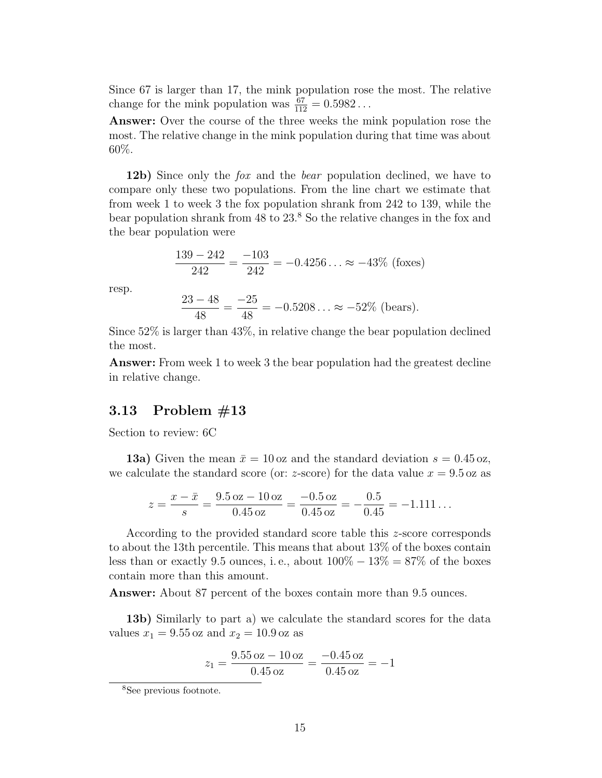Since 67 is larger than 17, the mink population rose the most. The relative change for the mink population was  $\frac{67}{112} = 0.5982...$ 

**Answer:** Over the course of the three weeks the mink population rose the most. The relative change in the mink population during that time was about 60%.

**12b)** Since only the *fox* and the *bear* population declined, we have to compare only these two populations. From the line chart we estimate that from week 1 to week 3 the fox population shrank from 242 to 139, while the bear population shrank from 48 to 23.<sup>8</sup> So the relative changes in the fox and the bear population were

$$
\frac{139 - 242}{242} = \frac{-103}{242} = -0.4256... \approx -43\% \text{ (foxes)}
$$

resp.

$$
\frac{23-48}{48} = \frac{-25}{48} = -0.5208... \approx -52\% \text{ (bears)}.
$$

Since 52% is larger than 43%, in relative change the bear population declined the most.

**Answer:** From week 1 to week 3 the bear population had the greatest decline in relative change.

#### **3.13 Problem #13**

Section to review: 6C

**13a)** Given the mean  $\bar{x} = 10$  oz and the standard deviation  $s = 0.45$  oz, we calculate the standard score (or:  $z$ -score) for the data value  $x = 9.5$  oz as

$$
z = \frac{x - \bar{x}}{s} = \frac{9.5 \text{ oz} - 10 \text{ oz}}{0.45 \text{ oz}} = \frac{-0.5 \text{ oz}}{0.45 \text{ oz}} = -\frac{0.5}{0.45} = -1.111\dots
$$

According to the provided standard score table this *z*-score corresponds to about the 13th percentile. This means that about 13% of the boxes contain less than or exactly 9.5 ounces, i.e., about  $100\% - 13\% = 87\%$  of the boxes contain more than this amount.

**Answer:** About 87 percent of the boxes contain more than 9.5 ounces.

**13b)** Similarly to part a) we calculate the standard scores for the data values  $x_1 = 9.55$  oz and  $x_2 = 10.9$  oz as

$$
z_1 = \frac{9.55 \text{ oz} - 10 \text{ oz}}{0.45 \text{ oz}} = \frac{-0.45 \text{ oz}}{0.45 \text{ oz}} = -1
$$

<sup>8</sup>See previous footnote.